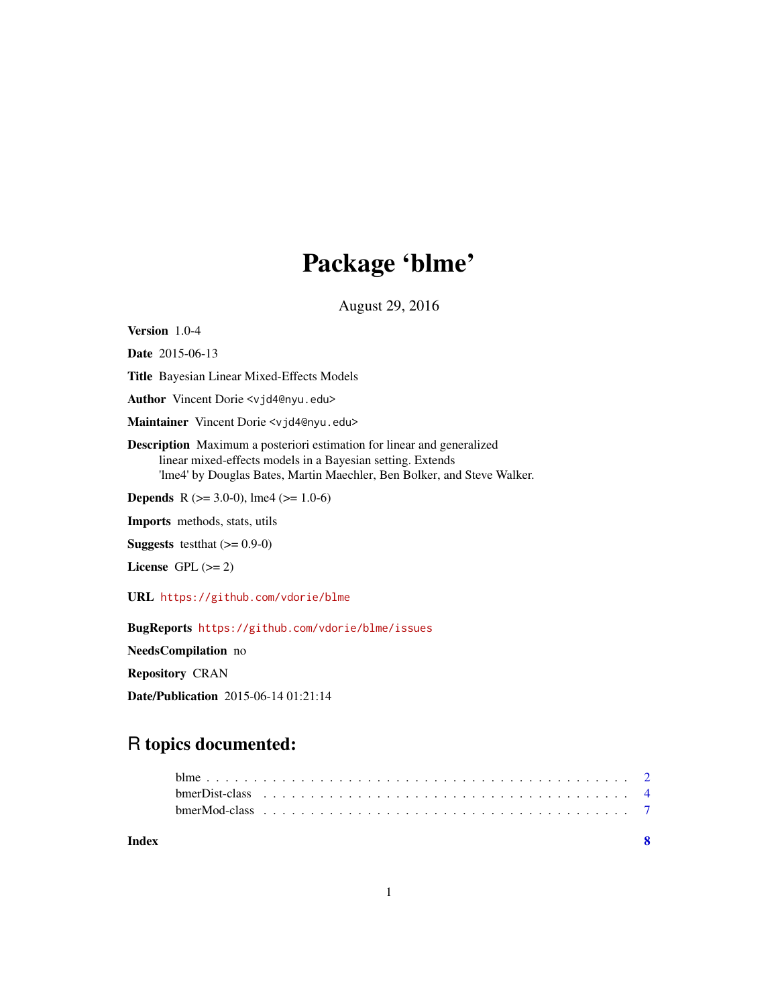## Package 'blme'

August 29, 2016

<span id="page-0-0"></span>Version 1.0-4

Date 2015-06-13

Title Bayesian Linear Mixed-Effects Models

Author Vincent Dorie <vjd4@nyu.edu>

Maintainer Vincent Dorie <vjd4@nyu.edu>

Description Maximum a posteriori estimation for linear and generalized linear mixed-effects models in a Bayesian setting. Extends 'lme4' by Douglas Bates, Martin Maechler, Ben Bolker, and Steve Walker.

**Depends** R ( $>= 3.0-0$ ), lme4 ( $>= 1.0-6$ )

Imports methods, stats, utils

**Suggests** testthat  $(>= 0.9-0)$ 

License GPL  $(>= 2)$ 

URL <https://github.com/vdorie/blme>

BugReports <https://github.com/vdorie/blme/issues>

NeedsCompilation no

Repository CRAN

Date/Publication 2015-06-14 01:21:14

### R topics documented:

| Index |  |  |  |  |  |  |  |  |  |  |  |  |  |  |  |  |  |
|-------|--|--|--|--|--|--|--|--|--|--|--|--|--|--|--|--|--|
|       |  |  |  |  |  |  |  |  |  |  |  |  |  |  |  |  |  |
|       |  |  |  |  |  |  |  |  |  |  |  |  |  |  |  |  |  |
|       |  |  |  |  |  |  |  |  |  |  |  |  |  |  |  |  |  |

1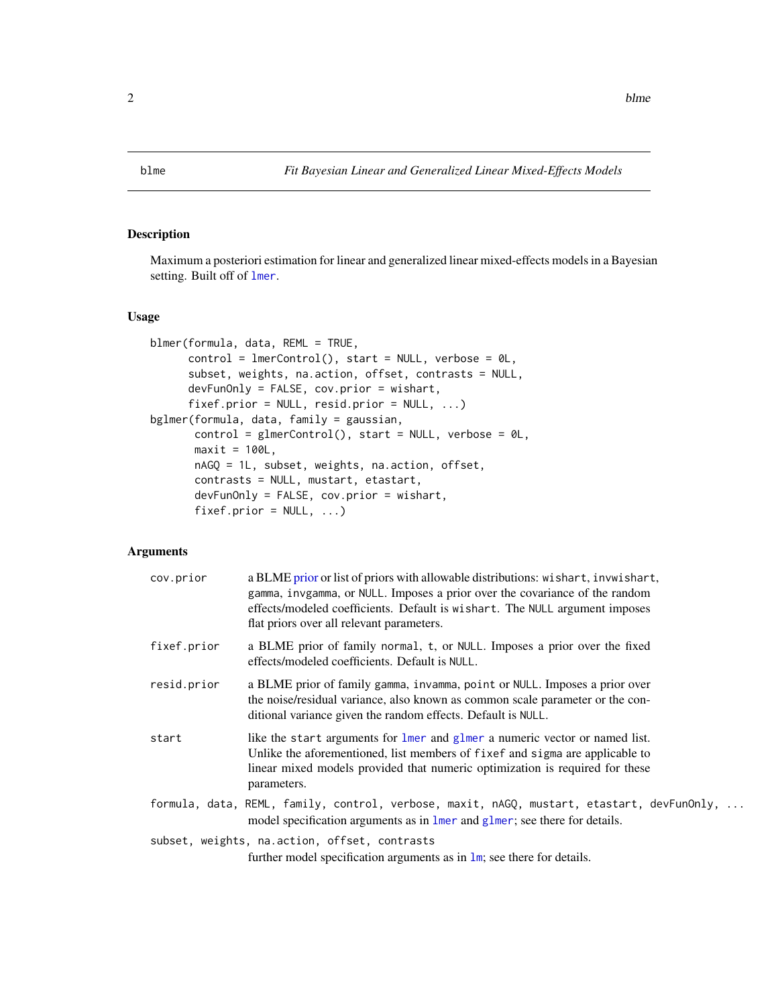<span id="page-1-0"></span>

#### <span id="page-1-1"></span>Description

Maximum a posteriori estimation for linear and generalized linear mixed-effects models in a Bayesian setting. Built off of [lmer](#page-0-0).

#### Usage

```
blmer(formula, data, REML = TRUE,
     control = lmerControl(), start = NULL, verbose = 0L,subset, weights, na.action, offset, contrasts = NULL,
     devFunOnly = FALSE, cov.prior = wishart,
     fixef.prior = NULL, resid.prior = NULL, ...bglmer(formula, data, family = gaussian,
      control = glmerControl(), start = NULL, verbose = @L,
      maxit = 100L,
      nAGQ = 1L, subset, weights, na.action, offset,
      contrasts = NULL, mustart, etastart,
      devFunOnly = FALSE, cov.prior = wishart,
      fixef.printor = NULL, ...)
```
#### Arguments

| cov.prior   | a BLME prior or list of priors with allowable distributions: wishart, invwishart,<br>gamma, invgamma, or NULL. Imposes a prior over the covariance of the random<br>effects/modeled coefficients. Default is wishart. The NULL argument imposes<br>flat priors over all relevant parameters. |
|-------------|----------------------------------------------------------------------------------------------------------------------------------------------------------------------------------------------------------------------------------------------------------------------------------------------|
| fixef.prior | a BLME prior of family normal, t, or NULL. Imposes a prior over the fixed<br>effects/modeled coefficients. Default is NULL.                                                                                                                                                                  |
| resid.prior | a BLME prior of family gamma, invamma, point or NULL. Imposes a prior over<br>the noise/residual variance, also known as common scale parameter or the con-<br>ditional variance given the random effects. Default is NULL.                                                                  |
| start       | like the start arguments for lmer and glmer a numeric vector or named list.<br>Unlike the aforementioned, list members of fixef and sigma are applicable to<br>linear mixed models provided that numeric optimization is required for these<br>parameters.                                   |
|             | formula, data, REML, family, control, verbose, maxit, nAGQ, mustart, etastart, devFunOnly,<br>model specification arguments as in lmer and glmer; see there for details.                                                                                                                     |
|             | subset, weights, na.action, offset, contrasts                                                                                                                                                                                                                                                |

further model specification arguments as in [lm](#page-0-0); see there for details.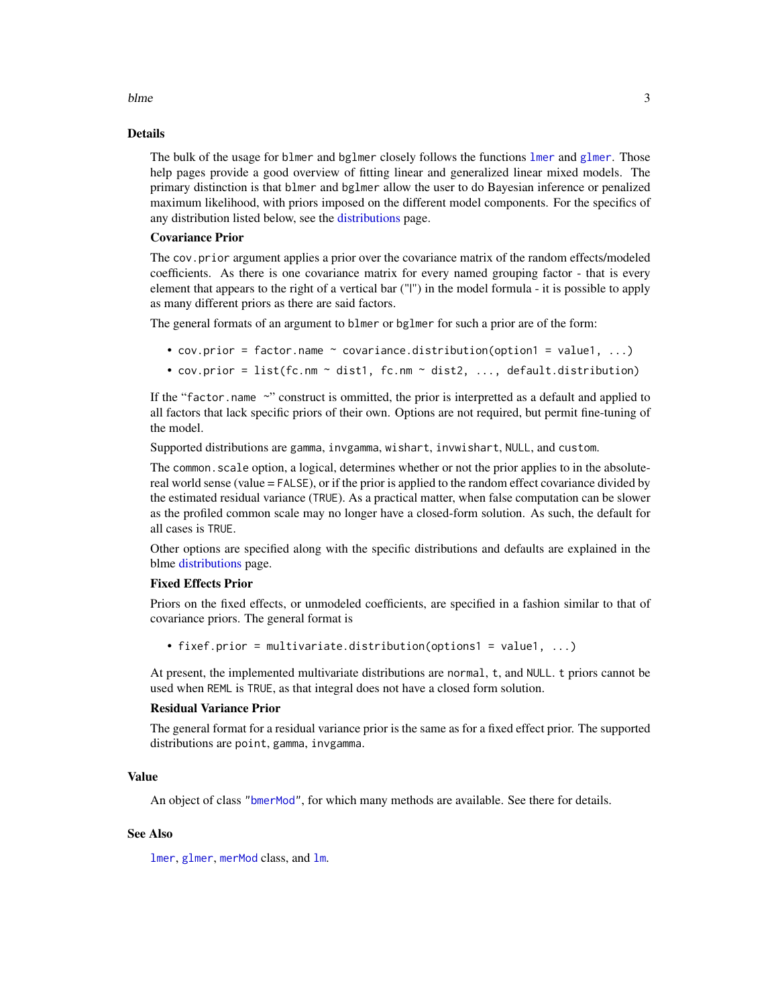#### <span id="page-2-0"></span>blme 3

#### Details

The bulk of the usage for b[lmer](#page-0-0) and b[glmer](#page-0-0) closely follows the functions lmer and glmer. Those help pages provide a good overview of fitting linear and generalized linear mixed models. The primary distinction is that blmer and bglmer allow the user to do Bayesian inference or penalized maximum likelihood, with priors imposed on the different model components. For the specifics of any distribution listed below, see the [distributions](#page-3-1) page.

#### Covariance Prior

The cov.prior argument applies a prior over the covariance matrix of the random effects/modeled coefficients. As there is one covariance matrix for every named grouping factor - that is every element that appears to the right of a vertical bar ("|") in the model formula - it is possible to apply as many different priors as there are said factors.

The general formats of an argument to blmer or bglmer for such a prior are of the form:

- cov.prior = factor.name  $\sim$  covariance.distribution(option1 = value1, ...)
- cov.prior = list(fc.nm ~ dist1, fc.nm ~ dist2, ..., default.distribution)

If the "factor.name  $\sim$ " construct is ommitted, the prior is interpretted as a default and applied to all factors that lack specific priors of their own. Options are not required, but permit fine-tuning of the model.

Supported distributions are gamma, invgamma, wishart, invwishart, NULL, and custom.

The common. scale option, a logical, determines whether or not the prior applies to in the absolutereal world sense (value = FALSE), or if the prior is applied to the random effect covariance divided by the estimated residual variance (TRUE). As a practical matter, when false computation can be slower as the profiled common scale may no longer have a closed-form solution. As such, the default for all cases is TRUE.

Other options are specified along with the specific distributions and defaults are explained in the blme [distributions](#page-3-1) page.

#### Fixed Effects Prior

Priors on the fixed effects, or unmodeled coefficients, are specified in a fashion similar to that of covariance priors. The general format is

• fixef.prior = multivariate.distribution(options1 = value1, ...)

At present, the implemented multivariate distributions are normal, t, and NULL. t priors cannot be used when REML is TRUE, as that integral does not have a closed form solution.

#### Residual Variance Prior

The general format for a residual variance prior is the same as for a fixed effect prior. The supported distributions are point, gamma, invgamma.

#### Value

An object of class ["bmerMod"](#page-6-1), for which many methods are available. See there for details.

#### See Also

[lmer](#page-0-0), [glmer](#page-0-0), [merMod](#page-0-0) class, and [lm](#page-0-0).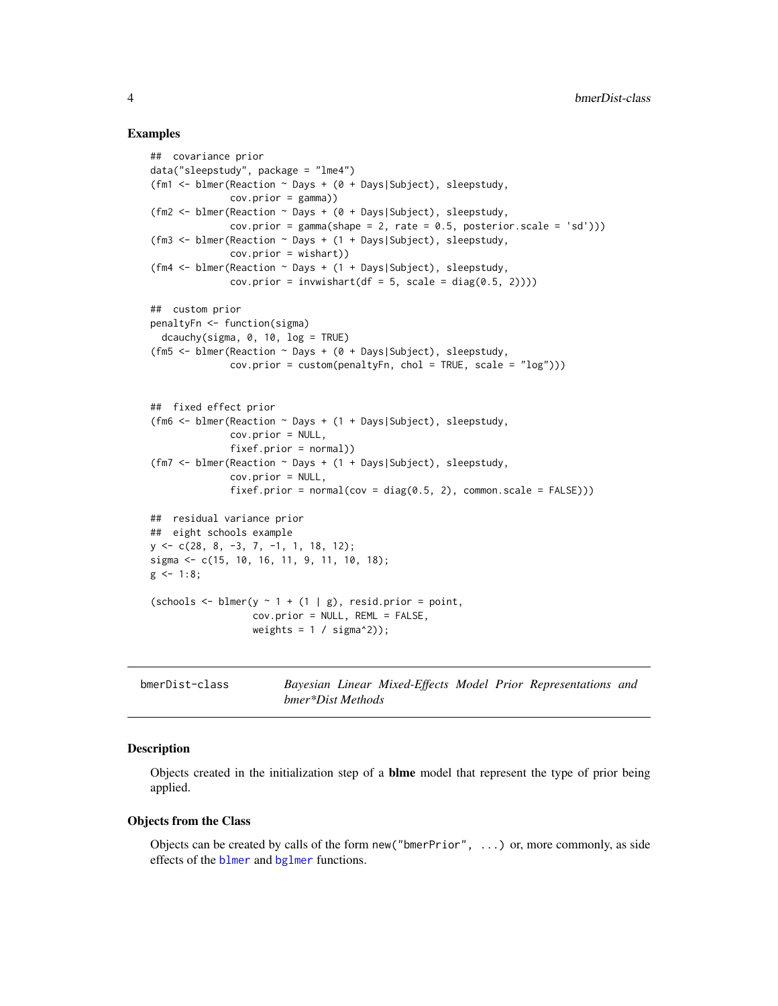#### Examples

```
## covariance prior
data("sleepstudy", package = "lme4")
(fm1 <- blmer(Reaction ~ Days + (0 + Days|Subject), sleepstudy,
              cov.prior = gamma))
(fm2 <- blmer(Reaction ~ Days + (0 + Days|Subject), sleepstudy,
              cov.prior = gamma(shape = 2, rate = 0.5, posterior.scale = 'sd'))(fm3 <- blmer(Reaction ~ Days + (1 + Days|Subject), sleepstudy,
              cov.prior = wishart))
(fm4 <- blmer(Reaction ~ Days + (1 + Days|Subject), sleepstudy,
              cov.prior = invmishart(df = 5, scale = diag(0.5, 2))))## custom prior
penaltyFn <- function(sigma)
  dcauchy(sigma, 0, 10, log = TRUE)
(fm5 <- blmer(Reaction ~ Days + (0 + Days|Subject), sleepstudy,
              cov.prior = custom(penaltyFn, chol = TRUE, scale = "log")))
## fixed effect prior
(fm6 <- blmer(Reaction ~ Days + (1 + Days|Subject), sleepstudy,
              cov.prior = NULL,
              fixef.prior = normal))
(fm7 <- blmer(Reaction ~ Days + (1 + Days|Subject), sleepstudy,
              cov.prior = NULL,
              fixef.printor = normal(cov = diag(0.5, 2), common.scale = FALSE)))## residual variance prior
## eight schools example
y \leftarrow c(28, 8, -3, 7, -1, 1, 18, 12);sigma <- c(15, 10, 16, 11, 9, 11, 10, 18);
g \le -1:8;(schools \leq blmer(y \sim 1 + (1 | g), resid.prior = point,
                  cov.prior = NULL, REML = FALSE,
                  weights = 1 / signa^2);
```
<span id="page-3-1"></span>

| bmerDist-class |  |  |  |  | Bayesian Linear Mixed-Effects Model Prior Representations and |  |
|----------------|--|--|--|--|---------------------------------------------------------------|--|
|                |  |  |  |  |                                                               |  |

#### Description

Objects created in the initialization step of a blme model that represent the type of prior being applied.

#### Objects from the Class

Objects can be created by calls of the form new("bmerPrior", ...) or, more commonly, as side effects of the [blmer](#page-1-1) and [bglmer](#page-1-1) functions.

<span id="page-3-0"></span>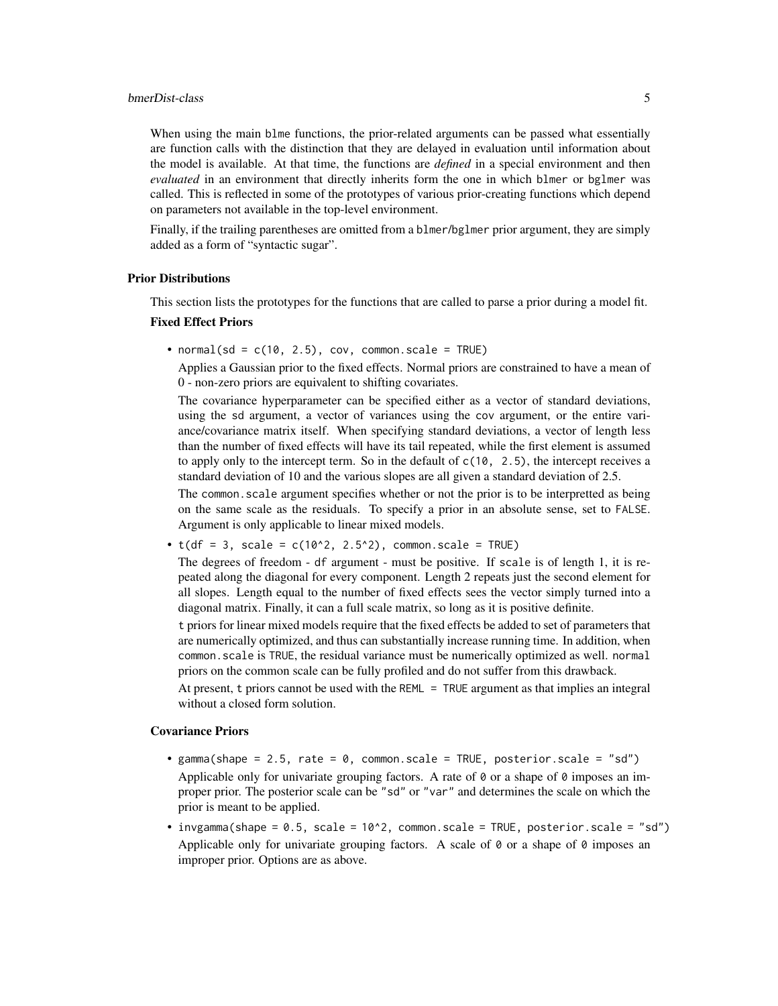#### bmerDist-class 5

When using the main blme functions, the prior-related arguments can be passed what essentially are function calls with the distinction that they are delayed in evaluation until information about the model is available. At that time, the functions are *defined* in a special environment and then *evaluated* in an environment that directly inherits form the one in which blmer or bglmer was called. This is reflected in some of the prototypes of various prior-creating functions which depend on parameters not available in the top-level environment.

Finally, if the trailing parentheses are omitted from a blmer/bglmer prior argument, they are simply added as a form of "syntactic sugar".

#### Prior Distributions

This section lists the prototypes for the functions that are called to parse a prior during a model fit.

#### Fixed Effect Priors

• normal(sd =  $c(10, 2.5)$ , cov, common.scale = TRUE)

Applies a Gaussian prior to the fixed effects. Normal priors are constrained to have a mean of 0 - non-zero priors are equivalent to shifting covariates.

The covariance hyperparameter can be specified either as a vector of standard deviations, using the sd argument, a vector of variances using the cov argument, or the entire variance/covariance matrix itself. When specifying standard deviations, a vector of length less than the number of fixed effects will have its tail repeated, while the first element is assumed to apply only to the intercept term. So in the default of  $c(10, 2.5)$ , the intercept receives a standard deviation of 10 and the various slopes are all given a standard deviation of 2.5.

The common.scale argument specifies whether or not the prior is to be interpretted as being on the same scale as the residuals. To specify a prior in an absolute sense, set to FALSE. Argument is only applicable to linear mixed models.

•  $t(df = 3, scale = c(10^2, 2.5^2), common.scale = TRUE)$ 

The degrees of freedom - df argument - must be positive. If scale is of length 1, it is repeated along the diagonal for every component. Length 2 repeats just the second element for all slopes. Length equal to the number of fixed effects sees the vector simply turned into a diagonal matrix. Finally, it can a full scale matrix, so long as it is positive definite.

t priors for linear mixed models require that the fixed effects be added to set of parameters that are numerically optimized, and thus can substantially increase running time. In addition, when common.scale is TRUE, the residual variance must be numerically optimized as well. normal priors on the common scale can be fully profiled and do not suffer from this drawback.

At present, t priors cannot be used with the REML = TRUE argument as that implies an integral without a closed form solution.

#### Covariance Priors

- gamma(shape = 2.5, rate = 0, common.scale = TRUE, posterior.scale = "sd") Applicable only for univariate grouping factors. A rate of  $\theta$  or a shape of  $\theta$  imposes an improper prior. The posterior scale can be "sd" or "var" and determines the scale on which the prior is meant to be applied.
- invgamma(shape = 0.5, scale = 10^2, common.scale = TRUE, posterior.scale = "sd") Applicable only for univariate grouping factors. A scale of  $\theta$  or a shape of  $\theta$  imposes an improper prior. Options are as above.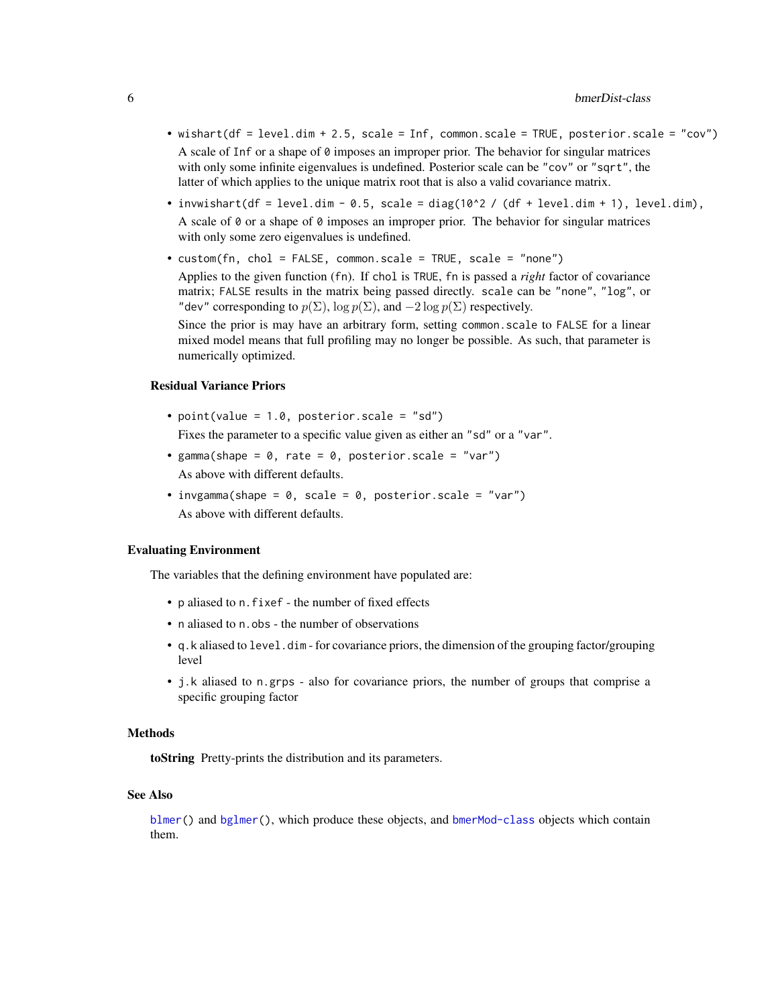- <span id="page-5-0"></span>• wishart(df = level.dim + 2.5, scale = Inf, common.scale = TRUE, posterior.scale = "cov") A scale of Inf or a shape of  $\theta$  imposes an improper prior. The behavior for singular matrices with only some infinite eigenvalues is undefined. Posterior scale can be "cov" or "sqrt", the latter of which applies to the unique matrix root that is also a valid covariance matrix.
- invwishart(df = level.dim 0.5, scale = diag(10^2 / (df + level.dim + 1), level.dim), A scale of  $\emptyset$  or a shape of  $\emptyset$  imposes an improper prior. The behavior for singular matrices with only some zero eigenvalues is undefined.
- custom(fn, chol = FALSE, common.scale = TRUE, scale = "none") Applies to the given function (fn). If chol is TRUE, fn is passed a *right* factor of covariance matrix; FALSE results in the matrix being passed directly. scale can be "none", "log", or "dev" corresponding to  $p(\Sigma)$ ,  $\log p(\Sigma)$ , and  $-2 \log p(\Sigma)$  respectively.

Since the prior is may have an arbitrary form, setting common.scale to FALSE for a linear mixed model means that full profiling may no longer be possible. As such, that parameter is numerically optimized.

#### Residual Variance Priors

- point(value =  $1.0$ , posterior.scale = "sd") Fixes the parameter to a specific value given as either an "sd" or a "var".
- gamma(shape =  $0$ , rate =  $0$ , posterior.scale = "var") As above with different defaults.
- invgamma(shape =  $0$ , scale =  $0$ , posterior.scale = "var") As above with different defaults.

#### Evaluating Environment

The variables that the defining environment have populated are:

- p aliased to n.fixef the number of fixed effects
- n aliased to n. obs the number of observations
- q.k aliased to level.dim for covariance priors, the dimension of the grouping factor/grouping level
- j.k aliased to n.grps also for covariance priors, the number of groups that comprise a specific grouping factor

#### **Methods**

toString Pretty-prints the distribution and its parameters.

#### See Also

[blmer\(](#page-1-1)) and [bglmer\(](#page-1-1)), which produce these objects, and [bmerMod-class](#page-6-1) objects which contain them.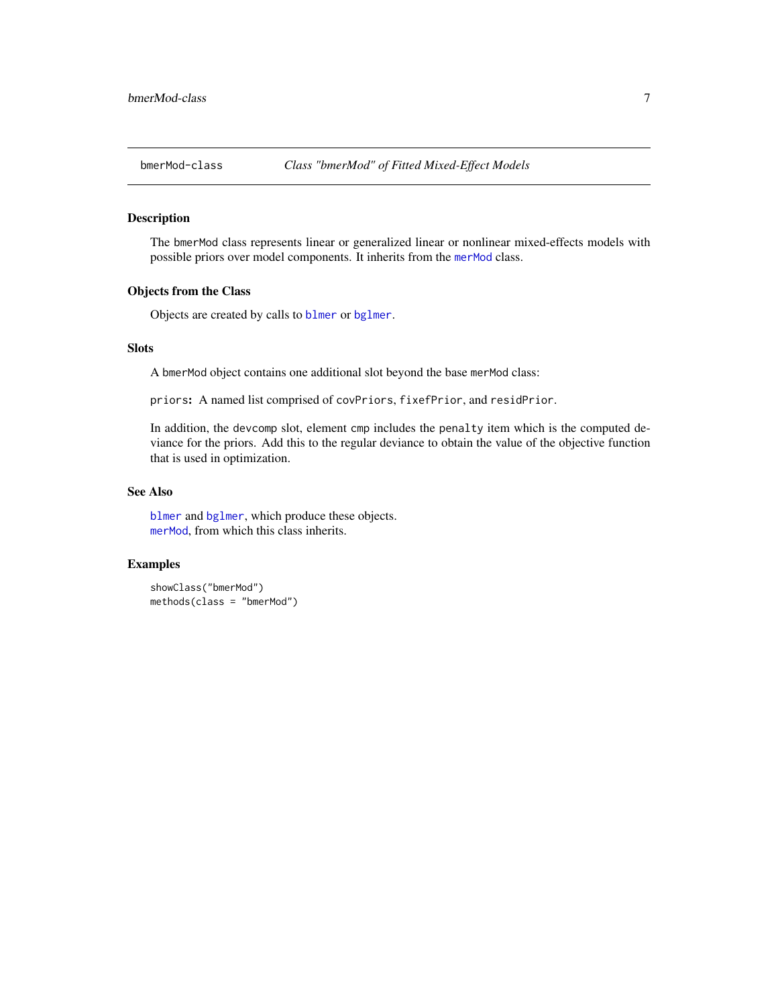<span id="page-6-1"></span><span id="page-6-0"></span>

#### Description

The bmerMod class represents linear or generalized linear or nonlinear mixed-effects models with possible priors over model components. It inherits from the [merMod](#page-0-0) class.

#### Objects from the Class

Objects are created by calls to [blmer](#page-1-1) or [bglmer](#page-1-1).

#### Slots

A bmerMod object contains one additional slot beyond the base merMod class:

priors: A named list comprised of covPriors, fixefPrior, and residPrior.

In addition, the devcomp slot, element cmp includes the penalty item which is the computed deviance for the priors. Add this to the regular deviance to obtain the value of the objective function that is used in optimization.

#### See Also

[blmer](#page-1-1) and [bglmer](#page-1-1), which produce these objects. [merMod](#page-0-0), from which this class inherits.

#### Examples

showClass("bmerMod") methods(class = "bmerMod")